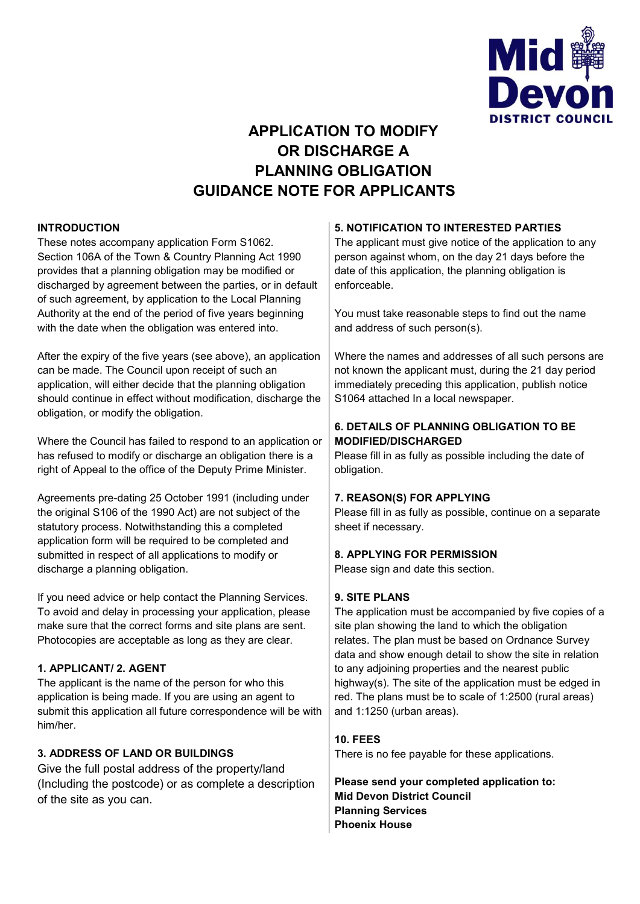

# **APPLICATION TO MODIFY OR DISCHARGE A PLANNING OBLIGATION GUIDANCE NOTE FOR APPLICANTS**

### **INTRODUCTION**

These notes accompany application Form S1062. Section 106A of the Town & Country Planning Act 1990 provides that a planning obligation may be modified or discharged by agreement between the parties, or in default of such agreement, by application to the Local Planning Authority at the end of the period of five years beginning with the date when the obligation was entered into.

After the expiry of the five years (see above), an application can be made. The Council upon receipt of such an application, will either decide that the planning obligation should continue in effect without modification, discharge the obligation, or modify the obligation.

Where the Council has failed to respond to an application or has refused to modify or discharge an obligation there is a right of Appeal to the office of the Deputy Prime Minister.

Agreements pre-dating 25 October 1991 (including under the original S106 of the 1990 Act) are not subject of the statutory process. Notwithstanding this a completed application form will be required to be completed and submitted in respect of all applications to modify or discharge a planning obligation.

If you need advice or help contact the Planning Services. To avoid and delay in processing your application, please make sure that the correct forms and site plans are sent. Photocopies are acceptable as long as they are clear.

# **1. APPLICANT/ 2. AGENT**

The applicant is the name of the person for who this application is being made. If you are using an agent to submit this application all future correspondence will be with him/her.

# **3. ADDRESS OF LAND OR BUILDINGS**

Give the full postal address of the property/land (Including the postcode) or as complete a description of the site as you can.

### **5. NOTIFICATION TO INTERESTED PARTIES**

The applicant must give notice of the application to any person against whom, on the day 21 days before the date of this application, the planning obligation is enforceable.

You must take reasonable steps to find out the name and address of such person(s).

Where the names and addresses of all such persons are not known the applicant must, during the 21 day period immediately preceding this application, publish notice S1064 attached In a local newspaper.

# **6. DETAILS OF PLANNING OBLIGATION TO BE MODIFIED/DISCHARGED**

Please fill in as fully as possible including the date of obligation.

#### **7. REASON(S) FOR APPLYING**

Please fill in as fully as possible, continue on a separate sheet if necessary.

# **8. APPLYING FOR PERMISSION**

Please sign and date this section.

#### **9. SITE PLANS**

The application must be accompanied by five copies of a site plan showing the land to which the obligation relates. The plan must be based on Ordnance Survey data and show enough detail to show the site in relation to any adjoining properties and the nearest public highway(s). The site of the application must be edged in red. The plans must be to scale of 1:2500 (rural areas) and 1:1250 (urban areas).

# **10. FEES**

There is no fee payable for these applications.

**Please send your completed application to: Mid Devon District Council Planning Services Phoenix House**